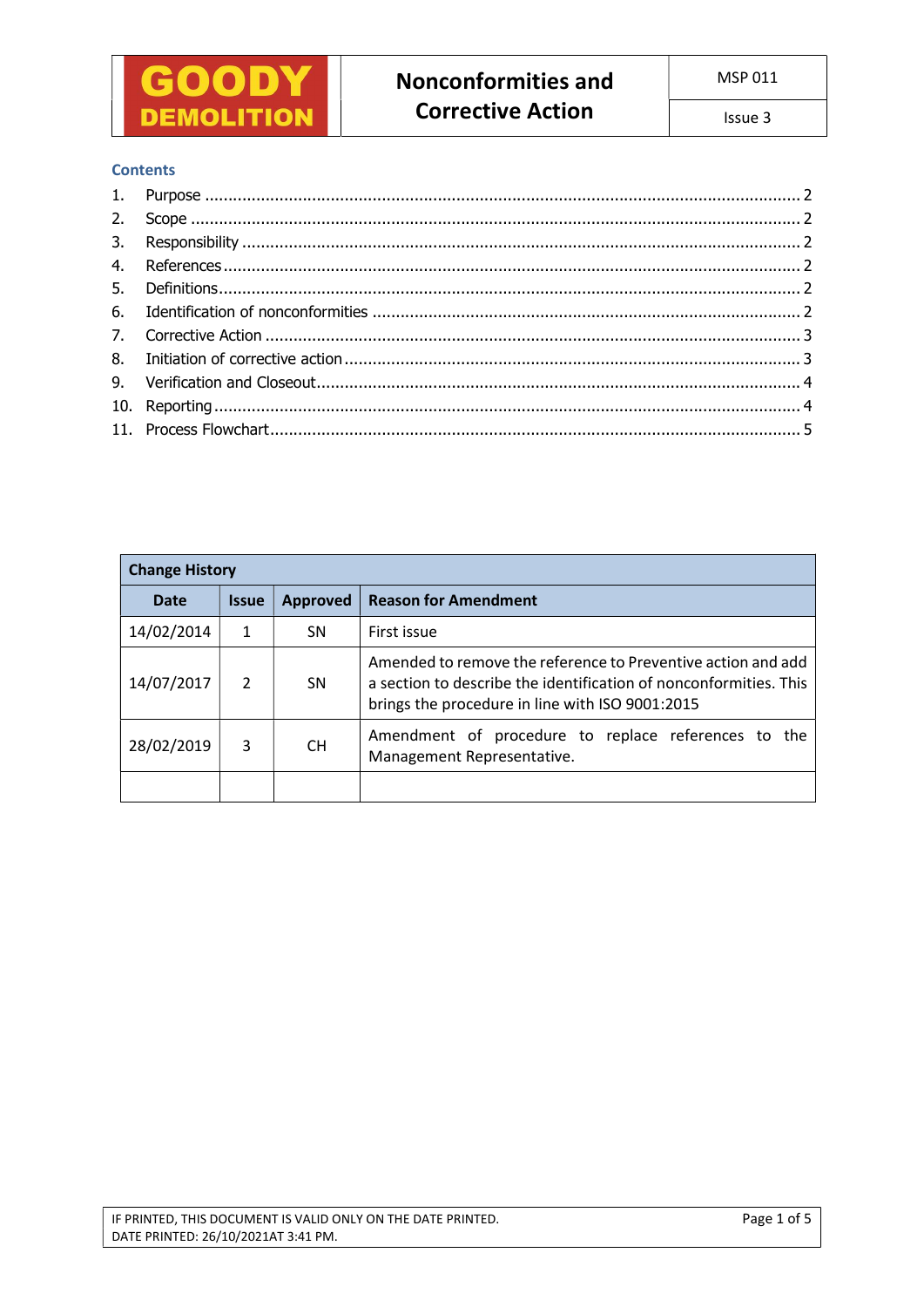

### **Contents**

| <b>Change History</b> |                     |                 |                                                                                                                                                                                      |  |  |  |  |
|-----------------------|---------------------|-----------------|--------------------------------------------------------------------------------------------------------------------------------------------------------------------------------------|--|--|--|--|
| Date                  | <i><b>Issue</b></i> | <b>Approved</b> | <b>Reason for Amendment</b>                                                                                                                                                          |  |  |  |  |
| 14/02/2014            |                     | SΝ              | First issue                                                                                                                                                                          |  |  |  |  |
| 14/07/2017            | $\mathcal{P}$       | <b>SN</b>       | Amended to remove the reference to Preventive action and add<br>a section to describe the identification of nonconformities. This<br>brings the procedure in line with ISO 9001:2015 |  |  |  |  |
| 28/02/2019            | 3                   | CH.             | Amendment of procedure to replace references to the<br>Management Representative.                                                                                                    |  |  |  |  |
|                       |                     |                 |                                                                                                                                                                                      |  |  |  |  |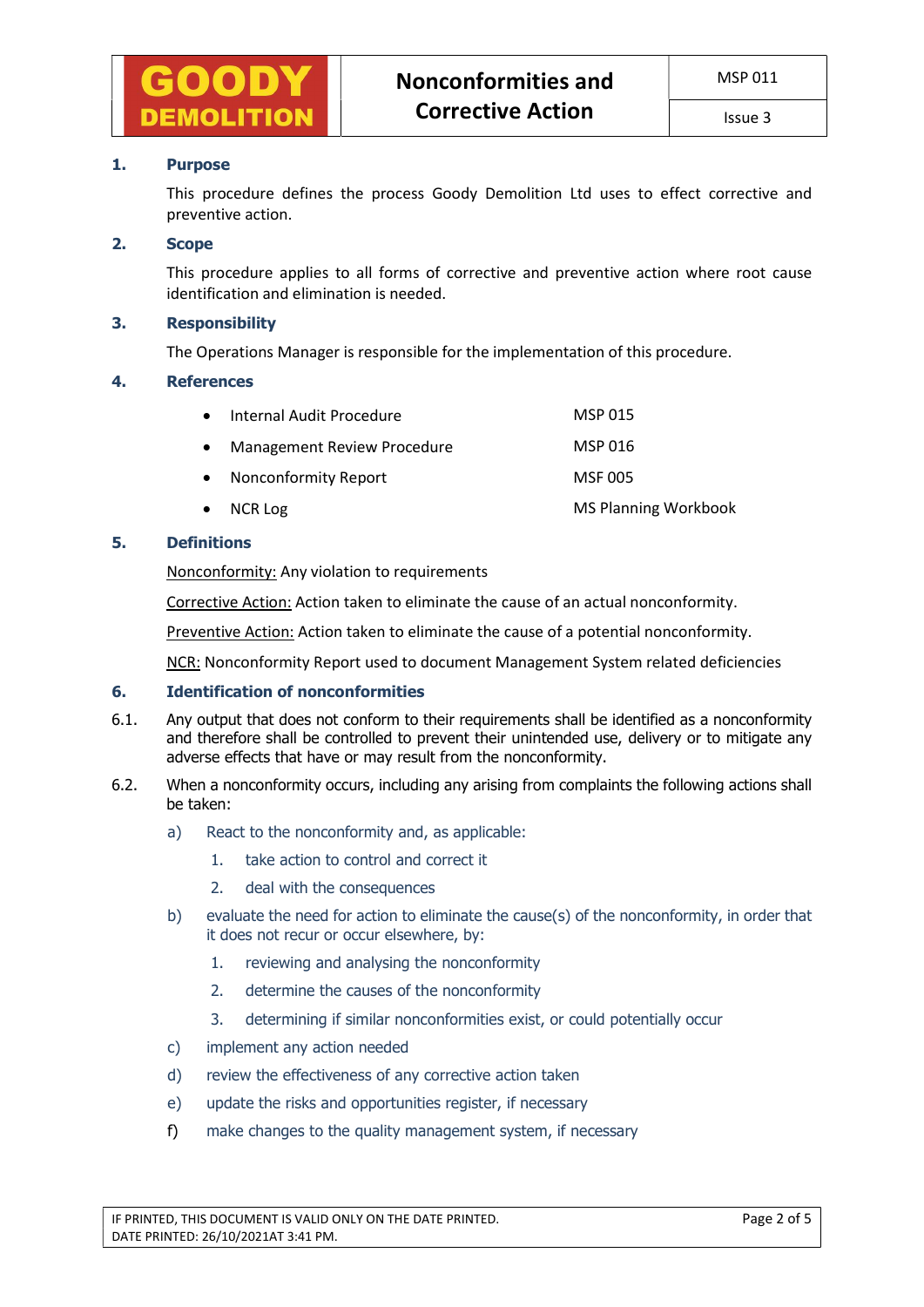

### 1. Purpose

This procedure defines the process Goody Demolition Ltd uses to effect corrective and preventive action.

### 2. Scope

This procedure applies to all forms of corrective and preventive action where root cause identification and elimination is needed.

### 3. Responsibility

The Operations Manager is responsible for the implementation of this procedure.

#### 4. References

| $\bullet$ | Internal Audit Procedure    | <b>MSP 015</b>              |
|-----------|-----------------------------|-----------------------------|
| $\bullet$ | Management Review Procedure | MSP 016                     |
|           | • Nonconformity Report      | <b>MSF 005</b>              |
|           | $\bullet$ NCR Log           | <b>MS Planning Workbook</b> |

### 5. Definitions

Nonconformity: Any violation to requirements

Corrective Action: Action taken to eliminate the cause of an actual nonconformity.

Preventive Action: Action taken to eliminate the cause of a potential nonconformity.

NCR: Nonconformity Report used to document Management System related deficiencies

# 6. Identification of nonconformities

- 6.1. Any output that does not conform to their requirements shall be identified as a nonconformity and therefore shall be controlled to prevent their unintended use, delivery or to mitigate any adverse effects that have or may result from the nonconformity.
- 6.2. When a nonconformity occurs, including any arising from complaints the following actions shall be taken:
	- a) React to the nonconformity and, as applicable:
		- 1. take action to control and correct it
		- 2. deal with the consequences
	- b) evaluate the need for action to eliminate the cause(s) of the nonconformity, in order that it does not recur or occur elsewhere, by:
		- 1. reviewing and analysing the nonconformity
		- 2. determine the causes of the nonconformity
		- 3. determining if similar nonconformities exist, or could potentially occur
	- c) implement any action needed
	- d) review the effectiveness of any corrective action taken
	- e) update the risks and opportunities register, if necessary
	- f) make changes to the quality management system, if necessary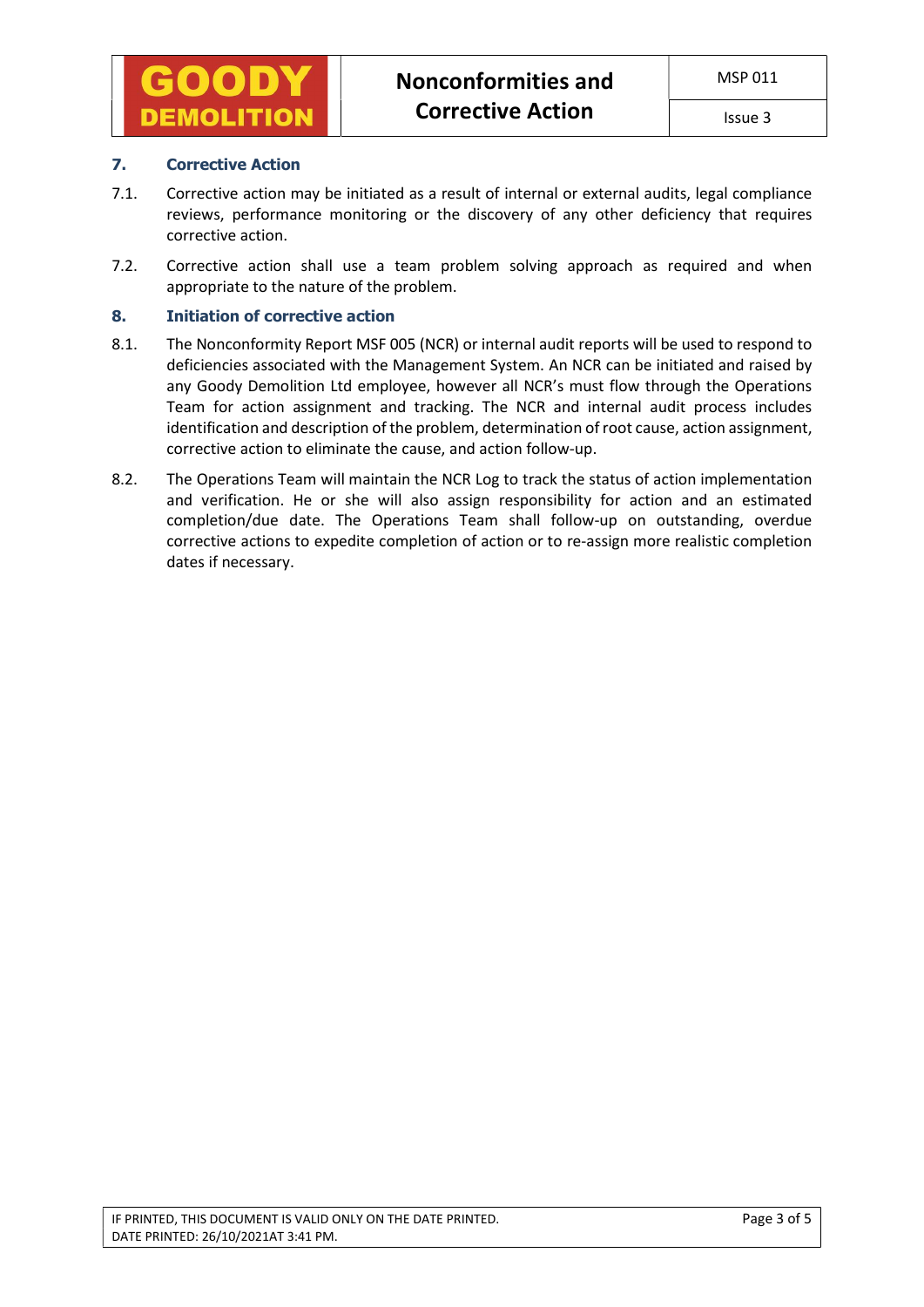# 7. Corrective Action

- 7.1. Corrective action may be initiated as a result of internal or external audits, legal compliance reviews, performance monitoring or the discovery of any other deficiency that requires corrective action.
- 7.2. Corrective action shall use a team problem solving approach as required and when appropriate to the nature of the problem.

# 8. Initiation of corrective action

- 8.1. The Nonconformity Report MSF 005 (NCR) or internal audit reports will be used to respond to deficiencies associated with the Management System. An NCR can be initiated and raised by any Goody Demolition Ltd employee, however all NCR's must flow through the Operations Team for action assignment and tracking. The NCR and internal audit process includes identification and description of the problem, determination of root cause, action assignment, corrective action to eliminate the cause, and action follow-up.
- 8.2. The Operations Team will maintain the NCR Log to track the status of action implementation and verification. He or she will also assign responsibility for action and an estimated completion/due date. The Operations Team shall follow-up on outstanding, overdue corrective actions to expedite completion of action or to re-assign more realistic completion dates if necessary.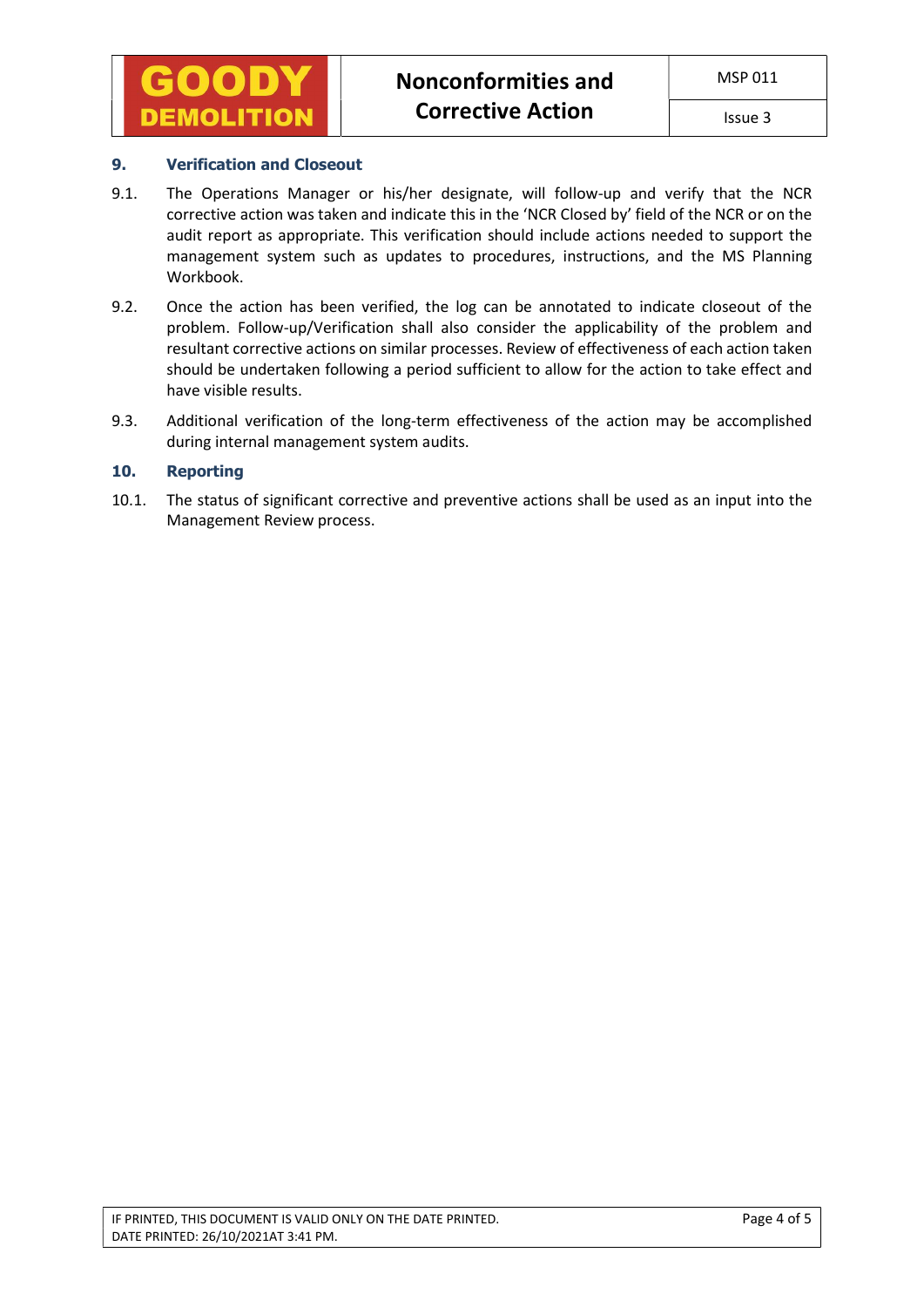

## 9. Verification and Closeout

- 9.1. The Operations Manager or his/her designate, will follow-up and verify that the NCR corrective action was taken and indicate this in the 'NCR Closed by' field of the NCR or on the audit report as appropriate. This verification should include actions needed to support the management system such as updates to procedures, instructions, and the MS Planning Workbook.
- 9.2. Once the action has been verified, the log can be annotated to indicate closeout of the problem. Follow-up/Verification shall also consider the applicability of the problem and resultant corrective actions on similar processes. Review of effectiveness of each action taken should be undertaken following a period sufficient to allow for the action to take effect and have visible results.
- 9.3. Additional verification of the long-term effectiveness of the action may be accomplished during internal management system audits.

## 10. Reporting

10.1. The status of significant corrective and preventive actions shall be used as an input into the Management Review process.